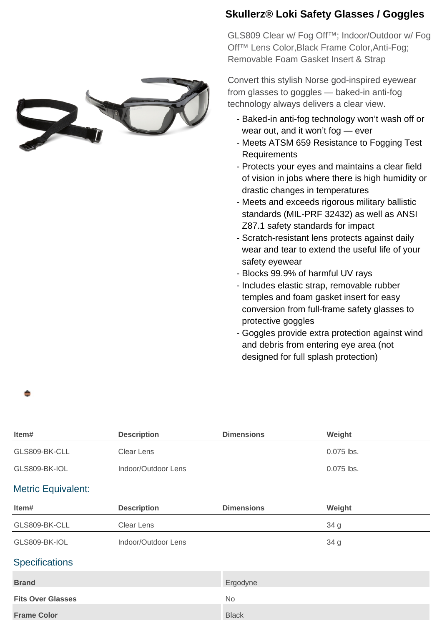

## **Skullerz® Loki Safety Glasses / Goggles**

GLS809 Clear w/ Fog Off™; Indoor/Outdoor w/ Fog Off™ Lens Color,Black Frame Color,Anti-Fog; Removable Foam Gasket Insert & Strap

Convert this stylish Norse god-inspired eyewear from glasses to goggles — baked-in anti-fog technology always delivers a clear view.

- Baked-in anti-fog technology won't wash off or wear out, and it won't fog — ever
- Meets ATSM 659 Resistance to Fogging Test Requirements
- Protects your eyes and maintains a clear field of vision in jobs where there is high humidity or drastic changes in temperatures
- Meets and exceeds rigorous military ballistic standards (MIL-PRF 32432) as well as ANSI Z87.1 safety standards for impact
- Scratch-resistant lens protects against daily wear and tear to extend the useful life of your safety eyewear
- Blocks 99.9% of harmful UV rays
- Includes elastic strap, removable rubber temples and foam gasket insert for easy conversion from full-frame safety glasses to protective goggles
- Goggles provide extra protection against wind and debris from entering eye area (not designed for full splash protection)

| Item#                     | <b>Description</b>  | <b>Dimensions</b> | Weight     |
|---------------------------|---------------------|-------------------|------------|
| GLS809-BK-CLL             | <b>Clear Lens</b>   |                   | 0.075 lbs. |
| GLS809-BK-IOL             | Indoor/Outdoor Lens |                   | 0.075 lbs. |
| <b>Metric Equivalent:</b> |                     |                   |            |
| Item#                     | <b>Description</b>  | <b>Dimensions</b> | Weight     |
| GLS809-BK-CLL             | <b>Clear Lens</b>   |                   | 34 g       |
| GLS809-BK-IOL             | Indoor/Outdoor Lens |                   | 34 g       |
| <b>Specifications</b>     |                     |                   |            |
| <b>Brand</b>              |                     | Ergodyne          |            |
| <b>Fits Over Glasses</b>  |                     | No                |            |
| <b>Frame Color</b>        |                     | <b>Black</b>      |            |